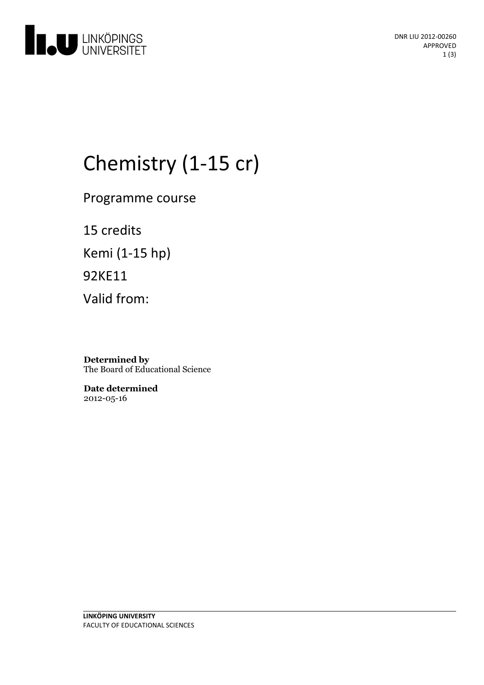

# Chemistry (1-15 cr)

Programme course

15 credits Kemi (1-15 hp) 92KE11 Valid from:

**Determined by** The Board of Educational Science

**Date determined** 2012-05-16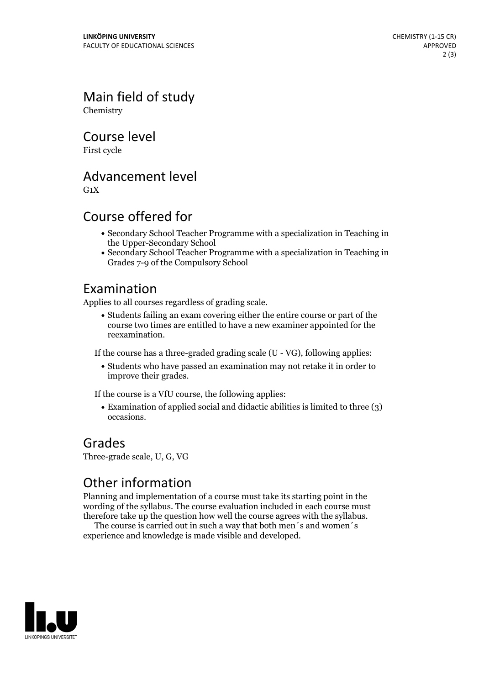Main field of study Chemistry

Course level

First cycle

Advancement level

 $G_1X$ 

#### Course offered for

- Secondary School Teacher Programme with a specialization in Teaching in the Upper-Secondary School
- Secondary School Teacher Programme with a specialization in Teaching in Grades 7-9 of the Compulsory School

#### Examination

Applies to all courses regardless of grading scale.

Students failing an exam covering either the entire course or part of the course two times are entitled to have a new examiner appointed for the reexamination.

If the course has a three-graded grading scale (U - VG), following applies:

Students who have passed an examination may not retake it in order to improve their grades.

If the course is a VfU course, the following applies:

Examination of applied social and didactic abilities is limited to three (3) occasions.

#### Grades

Three-grade scale, U, G, VG

### Other information

Planning and implementation of a course must take its starting point in the wording of the syllabus. The course evaluation included in each course must therefore take up the question how well the course agrees with the syllabus. The course is carried outin such <sup>a</sup> way that both men´s and women´s

experience and knowledge is made visible and developed.